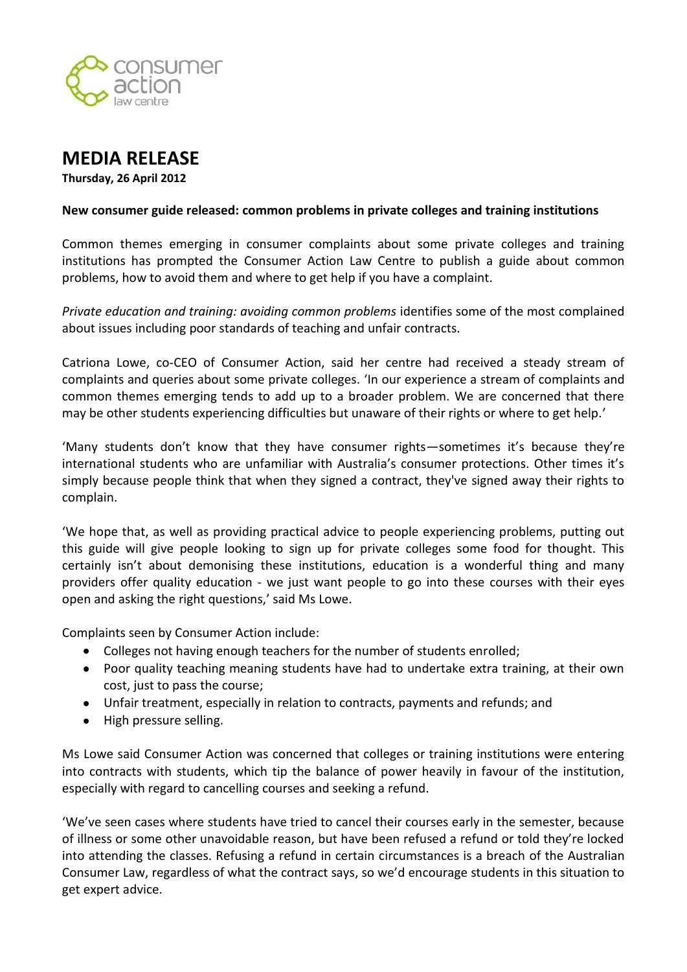



**Thursday, 26 April 2012**

## **New consumer guide released: common problems in private colleges and training institutions**

Common themes emerging in consumer complaints about some private colleges and training institutions has prompted the Consumer Action Law Centre to publish a guide about common problems, how to avoid them and where to get help if you have a complaint.

*Private education and training: avoiding common problems* identifies some of the most complained about issues including poor standards of teaching and unfair contracts.

Catriona Lowe, co-CEO of Consumer Action, said her centre had received a steady stream of complaints and queries about some private colleges. 'In our experience a stream of complaints and common themes emerging tends to add up to a broader problem. We are concerned that there may be other students experiencing difficulties but unaware of their rights or where to get help.'

'Many students don't know that they have consumer rights—sometimes it's because they're international students who are unfamiliar with Australia's consumer protections. Other times it's simply because people think that when they signed a contract, they've signed away their rights to complain.

'We hope that, as well as providing practical advice to people experiencing problems, putting out this guide will give people looking to sign up for private colleges some food for thought. This certainly isn't about demonising these institutions, education is a wonderful thing and many providers offer quality education - we just want people to go into these courses with their eyes open and asking the right questions,' said Ms Lowe.

Complaints seen by Consumer Action include:

- Colleges not having enough teachers for the number of students enrolled;
- Poor quality teaching meaning students have had to undertake extra training, at their own cost, just to pass the course;
- Unfair treatment, especially in relation to contracts, payments and refunds; and
- High pressure selling.

Ms Lowe said Consumer Action was concerned that colleges or training institutions were entering into contracts with students, which tip the balance of power heavily in favour of the institution, especially with regard to cancelling courses and seeking a refund.

'We've seen cases where students have tried to cancel their courses early in the semester, because of illness or some other unavoidable reason, but have been refused a refund or told they're locked into attending the classes. Refusing a refund in certain circumstances is a breach of the Australian Consumer Law, regardless of what the contract says, so we'd encourage students in this situation to get expert advice.